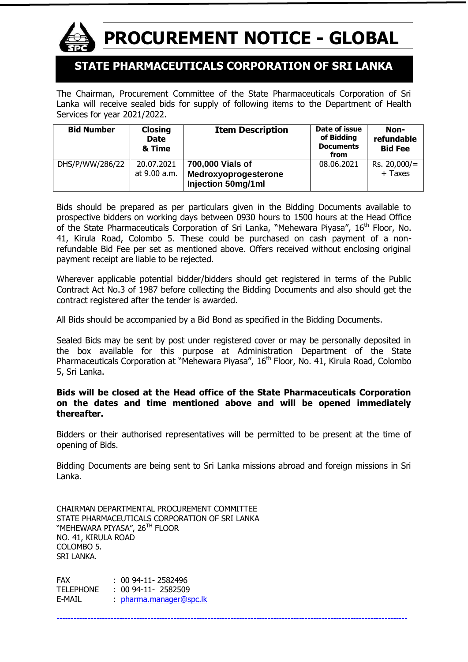

# **PROCUREMENT NOTICE - GLOBAL**

# **STATE PHARMACEUTICALS CORPORATION OF SRI LANKA**

The Chairman, Procurement Committee of the State Pharmaceuticals Corporation of Sri Lanka will receive sealed bids for supply of following items to the Department of Health Services for year 2021/2022.

| <b>Bid Number</b> | <b>Closing</b><br><b>Date</b><br>& Time | <b>Item Description</b> | Date of issue<br>of Bidding<br><b>Documents</b><br>from | Non-<br>refundable<br><b>Bid Fee</b> |
|-------------------|-----------------------------------------|-------------------------|---------------------------------------------------------|--------------------------------------|
| DHS/P/WW/286/22   | 20.07.2021                              | 700,000 Vials of        | 08.06.2021                                              | Rs. 20,000/                          |
|                   | at 9.00 a.m.                            | Medroxyoprogesterone    |                                                         | + Taxes                              |
|                   |                                         | Injection 50mg/1ml      |                                                         |                                      |

Bids should be prepared as per particulars given in the Bidding Documents available to prospective bidders on working days between 0930 hours to 1500 hours at the Head Office of the State Pharmaceuticals Corporation of Sri Lanka, "Mehewara Piyasa", 16<sup>th</sup> Floor, No. 41, Kirula Road, Colombo 5. These could be purchased on cash payment of a nonrefundable Bid Fee per set as mentioned above. Offers received without enclosing original payment receipt are liable to be rejected.

Wherever applicable potential bidder/bidders should get registered in terms of the Public Contract Act No.3 of 1987 before collecting the Bidding Documents and also should get the contract registered after the tender is awarded.

All Bids should be accompanied by a Bid Bond as specified in the Bidding Documents.

Sealed Bids may be sent by post under registered cover or may be personally deposited in the box available for this purpose at Administration Department of the State Pharmaceuticals Corporation at "Mehewara Piyasa", 16<sup>th</sup> Floor, No. 41, Kirula Road, Colombo 5, Sri Lanka.

#### **Bids will be closed at the Head office of the State Pharmaceuticals Corporation on the dates and time mentioned above and will be opened immediately thereafter.**

Bidders or their authorised representatives will be permitted to be present at the time of opening of Bids.

Bidding Documents are being sent to Sri Lanka missions abroad and foreign missions in Sri Lanka.

---------------------------------------------------------------------------------------------------------------------------

CHAIRMAN DEPARTMENTAL PROCUREMENT COMMITTEE STATE PHARMACEUTICALS CORPORATION OF SRI LANKA "MEHEWARA PIYASA", 26<sup>th</sup> Floor NO. 41, KIRULA ROAD COLOMBO 5. SRI LANKA.

FAX : 00 94-11- 2582496 TELEPHONE : 00 94-11- 2582509 E-MAIL [pharma.manager@spc.lk](mailto:pharma.manager@spc.lk)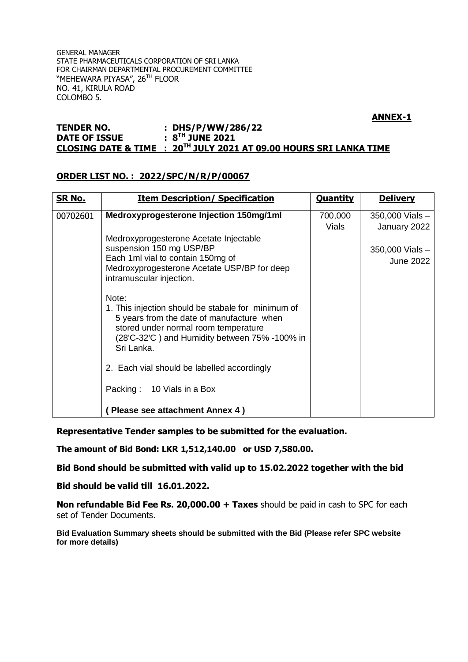GENERAL MANAGER STATE PHARMACEUTICALS CORPORATION OF SRI LANKA FOR CHAIRMAN DEPARTMENTAL PROCUREMENT COMMITTEE ``MEHEWARA PIYASA", 26<sup>th</sup> FLOOR NO. 41, KIRULA ROAD COLOMBO 5.

#### **ANNEX-1**

#### **TENDER NO. : DHS/P/WW/286/22 DATE OF ISSUE TH JUNE 2021 CLOSING DATE & TIME : 20TH JULY 2021 AT 09.00 HOURS SRI LANKA TIME**

#### **ORDER LIST NO. : 2022/SPC/N/R/P/00067**

| <u>SR No.</u> | <b>Item Description/ Specification</b>                                                                                                                                                                          | <b>Quantity</b> | <b>Delivery</b>                     |
|---------------|-----------------------------------------------------------------------------------------------------------------------------------------------------------------------------------------------------------------|-----------------|-------------------------------------|
| 00702601      | Medroxyprogesterone Injection 150mg/1ml                                                                                                                                                                         | 700,000         | 350,000 Vials -                     |
|               |                                                                                                                                                                                                                 | Vials           | January 2022                        |
|               | Medroxyprogesterone Acetate Injectable<br>suspension 150 mg USP/BP<br>Each 1ml vial to contain 150mg of<br>Medroxyprogesterone Acetate USP/BP for deep<br>intramuscular injection.                              |                 | 350,000 Vials -<br><b>June 2022</b> |
|               | Note:<br>1. This injection should be stabale for minimum of<br>5 years from the date of manufacture when<br>stored under normal room temperature<br>(28'C-32'C) and Humidity between 75% -100% in<br>Sri Lanka. |                 |                                     |
|               | 2. Each vial should be labelled accordingly                                                                                                                                                                     |                 |                                     |
|               | Packing: 10 Vials in a Box                                                                                                                                                                                      |                 |                                     |
|               | Please see attachment Annex 4)                                                                                                                                                                                  |                 |                                     |

**Representative Tender samples to be submitted for the evaluation.**

**The amount of Bid Bond: LKR 1,512,140.00 or USD 7,580.00.**

**Bid Bond should be submitted with valid up to 15.02.2022 together with the bid**

**Bid should be valid till 16.01.2022.**

**Non refundable Bid Fee Rs. 20,000.00 + Taxes** should be paid in cash to SPC for each set of Tender Documents.

**Bid Evaluation Summary sheets should be submitted with the Bid (Please refer SPC website for more details)**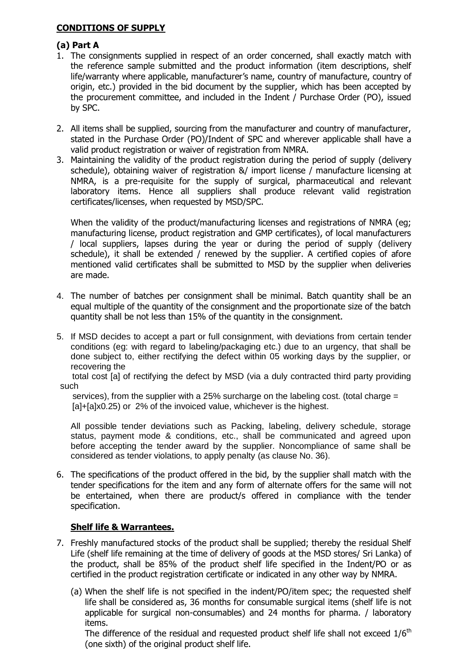## **CONDITIONS OF SUPPLY**

# **(a) Part A**

- 1. The consignments supplied in respect of an order concerned, shall exactly match with the reference sample submitted and the product information (item descriptions, shelf life/warranty where applicable, manufacturer's name, country of manufacture, country of origin, etc.) provided in the bid document by the supplier, which has been accepted by the procurement committee, and included in the Indent / Purchase Order (PO), issued by SPC.
- 2. All items shall be supplied, sourcing from the manufacturer and country of manufacturer, stated in the Purchase Order (PO)/Indent of SPC and wherever applicable shall have a valid product registration or waiver of registration from NMRA.
- 3. Maintaining the validity of the product registration during the period of supply (delivery schedule), obtaining waiver of registration &/ import license / manufacture licensing at NMRA, is a pre-requisite for the supply of surgical, pharmaceutical and relevant laboratory items. Hence all suppliers shall produce relevant valid registration certificates/licenses, when requested by MSD/SPC.

When the validity of the product/manufacturing licenses and registrations of NMRA (eg; manufacturing license, product registration and GMP certificates), of local manufacturers / local suppliers, lapses during the year or during the period of supply (delivery schedule), it shall be extended / renewed by the supplier. A certified copies of afore mentioned valid certificates shall be submitted to MSD by the supplier when deliveries are made.

- 4. The number of batches per consignment shall be minimal. Batch quantity shall be an equal multiple of the quantity of the consignment and the proportionate size of the batch quantity shall be not less than 15% of the quantity in the consignment.
- 5. If MSD decides to accept a part or full consignment, with deviations from certain tender conditions (eg: with regard to labeling/packaging etc.) due to an urgency, that shall be done subject to, either rectifying the defect within 05 working days by the supplier, or recovering the

 total cost [a] of rectifying the defect by MSD (via a duly contracted third party providing such

services), from the supplier with a 25% surcharge on the labeling cost. (total charge  $=$ [a]+[a]x0.25) or 2% of the invoiced value, whichever is the highest.

All possible tender deviations such as Packing, labeling, delivery schedule, storage status, payment mode & conditions, etc., shall be communicated and agreed upon before accepting the tender award by the supplier. Noncompliance of same shall be considered as tender violations, to apply penalty (as clause No. 36).

6. The specifications of the product offered in the bid, by the supplier shall match with the tender specifications for the item and any form of alternate offers for the same will not be entertained, when there are product/s offered in compliance with the tender specification.

## **Shelf life & Warrantees.**

- 7. Freshly manufactured stocks of the product shall be supplied; thereby the residual Shelf Life (shelf life remaining at the time of delivery of goods at the MSD stores/ Sri Lanka) of the product, shall be 85% of the product shelf life specified in the Indent/PO or as certified in the product registration certificate or indicated in any other way by NMRA.
	- (a) When the shelf life is not specified in the indent/PO/item spec; the requested shelf life shall be considered as, 36 months for consumable surgical items (shelf life is not applicable for surgical non-consumables) and 24 months for pharma. / laboratory items.

The difference of the residual and requested product shelf life shall not exceed  $1/6<sup>th</sup>$ (one sixth) of the original product shelf life.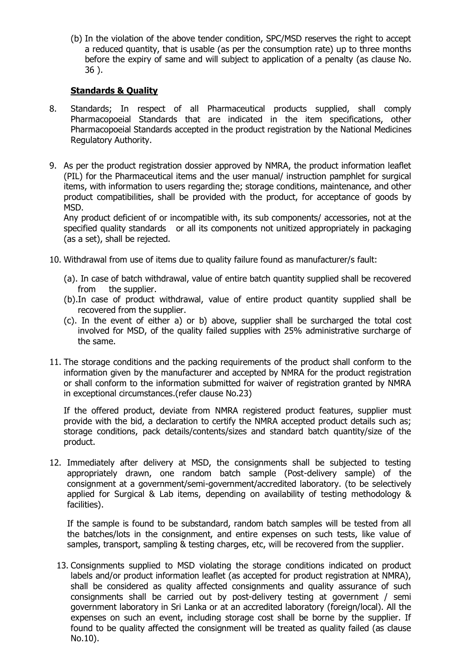(b) In the violation of the above tender condition, SPC/MSD reserves the right to accept a reduced quantity, that is usable (as per the consumption rate) up to three months before the expiry of same and will subject to application of a penalty (as clause No. 36 ).

# **Standards & Quality**

- 8. Standards; In respect of all Pharmaceutical products supplied, shall comply Pharmacopoeial Standards that are indicated in the item specifications, other Pharmacopoeial Standards accepted in the product registration by the National Medicines Regulatory Authority.
- 9. As per the product registration dossier approved by NMRA, the product information leaflet (PIL) for the Pharmaceutical items and the user manual/ instruction pamphlet for surgical items, with information to users regarding the; storage conditions, maintenance, and other product compatibilities, shall be provided with the product, for acceptance of goods by MSD.

Any product deficient of or incompatible with, its sub components/ accessories, not at the specified quality standards or all its components not unitized appropriately in packaging (as a set), shall be rejected.

- 10. Withdrawal from use of items due to quality failure found as manufacturer/s fault:
	- (a). In case of batch withdrawal, value of entire batch quantity supplied shall be recovered from the supplier.
	- (b).In case of product withdrawal, value of entire product quantity supplied shall be recovered from the supplier.
	- (c). In the event of either a) or b) above, supplier shall be surcharged the total cost involved for MSD, of the quality failed supplies with 25% administrative surcharge of the same.
- 11. The storage conditions and the packing requirements of the product shall conform to the information given by the manufacturer and accepted by NMRA for the product registration or shall conform to the information submitted for waiver of registration granted by NMRA in exceptional circumstances.(refer clause No.23)

If the offered product, deviate from NMRA registered product features, supplier must provide with the bid, a declaration to certify the NMRA accepted product details such as; storage conditions, pack details/contents/sizes and standard batch quantity/size of the product.

12. Immediately after delivery at MSD, the consignments shall be subjected to testing appropriately drawn, one random batch sample (Post-delivery sample) of the consignment at a government/semi-government/accredited laboratory. (to be selectively applied for Surgical & Lab items, depending on availability of testing methodology & facilities).

If the sample is found to be substandard, random batch samples will be tested from all the batches/lots in the consignment, and entire expenses on such tests, like value of samples, transport, sampling & testing charges, etc, will be recovered from the supplier.

13. Consignments supplied to MSD violating the storage conditions indicated on product labels and/or product information leaflet (as accepted for product registration at NMRA), shall be considered as quality affected consignments and quality assurance of such consignments shall be carried out by post-delivery testing at government / semi government laboratory in Sri Lanka or at an accredited laboratory (foreign/local). All the expenses on such an event, including storage cost shall be borne by the supplier. If found to be quality affected the consignment will be treated as quality failed (as clause No.10).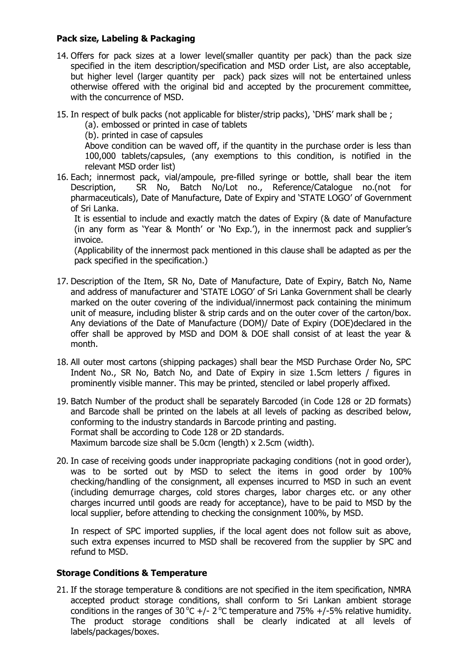## **Pack size, Labeling & Packaging**

- 14. Offers for pack sizes at a lower level(smaller quantity per pack) than the pack size specified in the item description/specification and MSD order List, are also acceptable, but higher level (larger quantity per pack) pack sizes will not be entertained unless otherwise offered with the original bid and accepted by the procurement committee, with the concurrence of MSD.
- 15. In respect of bulk packs (not applicable for blister/strip packs), "DHS" mark shall be ;
	- (a). embossed or printed in case of tablets

(b). printed in case of capsules

Above condition can be waved off, if the quantity in the purchase order is less than 100,000 tablets/capsules, (any exemptions to this condition, is notified in the relevant MSD order list)

16. Each; innermost pack, vial/ampoule, pre-filled syringe or bottle, shall bear the item Description, SR No, Batch No/Lot no., Reference/Catalogue no.(not for pharmaceuticals), Date of Manufacture, Date of Expiry and "STATE LOGO" of Government of Sri Lanka.

It is essential to include and exactly match the dates of Expiry (& date of Manufacture (in any form as 'Year & Month' or 'No Exp.'), in the innermost pack and supplier's invoice.

(Applicability of the innermost pack mentioned in this clause shall be adapted as per the pack specified in the specification.)

- 17. Description of the Item, SR No, Date of Manufacture, Date of Expiry, Batch No, Name and address of manufacturer and "STATE LOGO" of Sri Lanka Government shall be clearly marked on the outer covering of the individual/innermost pack containing the minimum unit of measure, including blister & strip cards and on the outer cover of the carton/box. Any deviations of the Date of Manufacture (DOM)/ Date of Expiry (DOE)declared in the offer shall be approved by MSD and DOM & DOE shall consist of at least the year & month.
- 18. All outer most cartons (shipping packages) shall bear the MSD Purchase Order No, SPC Indent No., SR No, Batch No, and Date of Expiry in size 1.5cm letters / figures in prominently visible manner. This may be printed, stenciled or label properly affixed.
- 19. Batch Number of the product shall be separately Barcoded (in Code 128 or 2D formats) and Barcode shall be printed on the labels at all levels of packing as described below, conforming to the industry standards in Barcode printing and pasting. Format shall be according to Code 128 or 2D standards. Maximum barcode size shall be 5.0cm (length) x 2.5cm (width).
- 20. In case of receiving goods under inappropriate packaging conditions (not in good order), was to be sorted out by MSD to select the items in good order by 100% checking/handling of the consignment, all expenses incurred to MSD in such an event (including demurrage charges, cold stores charges, labor charges etc. or any other charges incurred until goods are ready for acceptance), have to be paid to MSD by the local supplier, before attending to checking the consignment 100%, by MSD.

In respect of SPC imported supplies, if the local agent does not follow suit as above, such extra expenses incurred to MSD shall be recovered from the supplier by SPC and refund to MSD.

#### **Storage Conditions & Temperature**

21. If the storage temperature & conditions are not specified in the item specification, NMRA accepted product storage conditions, shall conform to Sri Lankan ambient storage conditions in the ranges of 30 °C +/- 2 °C temperature and 75% +/-5% relative humidity. The product storage conditions shall be clearly indicated at all levels of labels/packages/boxes.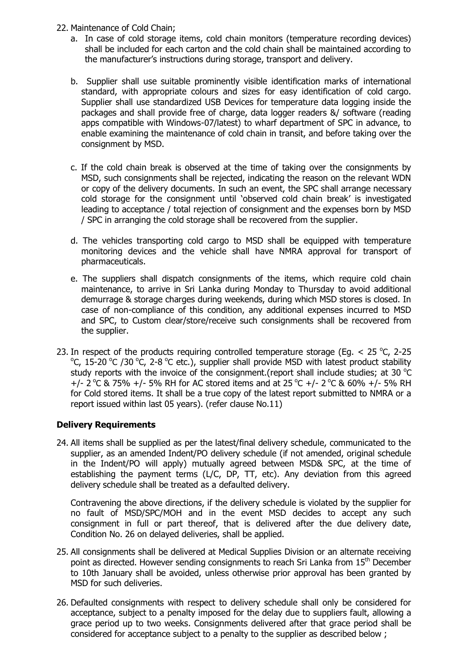- 22. Maintenance of Cold Chain;
	- a. In case of cold storage items, cold chain monitors (temperature recording devices) shall be included for each carton and the cold chain shall be maintained according to the manufacturer"s instructions during storage, transport and delivery.
	- b. Supplier shall use suitable prominently visible identification marks of international standard, with appropriate colours and sizes for easy identification of cold cargo. Supplier shall use standardized USB Devices for temperature data logging inside the packages and shall provide free of charge, data logger readers &/ software (reading apps compatible with Windows-07/latest) to wharf department of SPC in advance, to enable examining the maintenance of cold chain in transit, and before taking over the consignment by MSD.
	- c. If the cold chain break is observed at the time of taking over the consignments by MSD, such consignments shall be rejected, indicating the reason on the relevant WDN or copy of the delivery documents. In such an event, the SPC shall arrange necessary cold storage for the consignment until 'observed cold chain break' is investigated leading to acceptance / total rejection of consignment and the expenses born by MSD / SPC in arranging the cold storage shall be recovered from the supplier.
	- d. The vehicles transporting cold cargo to MSD shall be equipped with temperature monitoring devices and the vehicle shall have NMRA approval for transport of pharmaceuticals.
	- e. The suppliers shall dispatch consignments of the items, which require cold chain maintenance, to arrive in Sri Lanka during Monday to Thursday to avoid additional demurrage & storage charges during weekends, during which MSD stores is closed. In case of non-compliance of this condition, any additional expenses incurred to MSD and SPC, to Custom clear/store/receive such consignments shall be recovered from the supplier.
- 23. In respect of the products requiring controlled temperature storage (Eg.  $<$  25 °C, 2-25 °C, 15-20 °C /30 °C, 2-8 °C etc.), supplier shall provide MSD with latest product stability study reports with the invoice of the consignment. (report shall include studies; at 30  $^{\circ}$ C +/- 2 °C & 75% +/- 5% RH for AC stored items and at 25 °C +/- 2 °C & 60% +/- 5% RH for Cold stored items. It shall be a true copy of the latest report submitted to NMRA or a report issued within last 05 years). (refer clause No.11)

## **Delivery Requirements**

24. All items shall be supplied as per the latest/final delivery schedule, communicated to the supplier, as an amended Indent/PO delivery schedule (if not amended, original schedule in the Indent/PO will apply) mutually agreed between MSD& SPC, at the time of establishing the payment terms (L/C, DP, TT, etc). Any deviation from this agreed delivery schedule shall be treated as a defaulted delivery.

Contravening the above directions, if the delivery schedule is violated by the supplier for no fault of MSD/SPC/MOH and in the event MSD decides to accept any such consignment in full or part thereof, that is delivered after the due delivery date, Condition No. 26 on delayed deliveries, shall be applied.

- 25. All consignments shall be delivered at Medical Supplies Division or an alternate receiving point as directed. However sending consignments to reach Sri Lanka from 15<sup>th</sup> December to 10th January shall be avoided, unless otherwise prior approval has been granted by MSD for such deliveries.
- 26. Defaulted consignments with respect to delivery schedule shall only be considered for acceptance, subject to a penalty imposed for the delay due to suppliers fault, allowing a grace period up to two weeks. Consignments delivered after that grace period shall be considered for acceptance subject to a penalty to the supplier as described below ;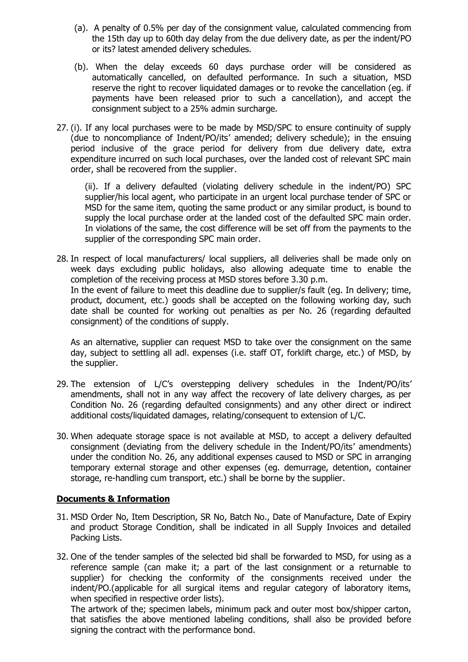- (a). A penalty of 0.5% per day of the consignment value, calculated commencing from the 15th day up to 60th day delay from the due delivery date, as per the indent/PO or its? latest amended delivery schedules.
- (b). When the delay exceeds 60 days purchase order will be considered as automatically cancelled, on defaulted performance. In such a situation, MSD reserve the right to recover liquidated damages or to revoke the cancellation (eg. if payments have been released prior to such a cancellation), and accept the consignment subject to a 25% admin surcharge.
- 27. (i). If any local purchases were to be made by MSD/SPC to ensure continuity of supply (due to noncompliance of Indent/PO/its" amended; delivery schedule); in the ensuing period inclusive of the grace period for delivery from due delivery date, extra expenditure incurred on such local purchases, over the landed cost of relevant SPC main order, shall be recovered from the supplier.

(ii). If a delivery defaulted (violating delivery schedule in the indent/PO) SPC supplier/his local agent, who participate in an urgent local purchase tender of SPC or MSD for the same item, quoting the same product or any similar product, is bound to supply the local purchase order at the landed cost of the defaulted SPC main order. In violations of the same, the cost difference will be set off from the payments to the supplier of the corresponding SPC main order.

28. In respect of local manufacturers/ local suppliers, all deliveries shall be made only on week days excluding public holidays, also allowing adequate time to enable the completion of the receiving process at MSD stores before 3.30 p.m. In the event of failure to meet this deadline due to supplier/s fault (eg. In delivery; time, product, document, etc.) goods shall be accepted on the following working day, such date shall be counted for working out penalties as per No. 26 (regarding defaulted consignment) of the conditions of supply.

As an alternative, supplier can request MSD to take over the consignment on the same day, subject to settling all adl. expenses (i.e. staff OT, forklift charge, etc.) of MSD, by the supplier.

- 29. The extension of L/C's overstepping delivery schedules in the Indent/PO/its' amendments, shall not in any way affect the recovery of late delivery charges, as per Condition No. 26 (regarding defaulted consignments) and any other direct or indirect additional costs/liquidated damages, relating/consequent to extension of L/C.
- 30. When adequate storage space is not available at MSD, to accept a delivery defaulted consignment (deviating from the delivery schedule in the Indent/PO/its" amendments) under the condition No. 26, any additional expenses caused to MSD or SPC in arranging temporary external storage and other expenses (eg. demurrage, detention, container storage, re-handling cum transport, etc.) shall be borne by the supplier.

## **Documents & Information**

- 31. MSD Order No, Item Description, SR No, Batch No., Date of Manufacture, Date of Expiry and product Storage Condition, shall be indicated in all Supply Invoices and detailed Packing Lists.
- 32. One of the tender samples of the selected bid shall be forwarded to MSD, for using as a reference sample (can make it; a part of the last consignment or a returnable to supplier) for checking the conformity of the consignments received under the indent/PO.(applicable for all surgical items and regular category of laboratory items, when specified in respective order lists).

The artwork of the; specimen labels, minimum pack and outer most box/shipper carton, that satisfies the above mentioned labeling conditions, shall also be provided before signing the contract with the performance bond.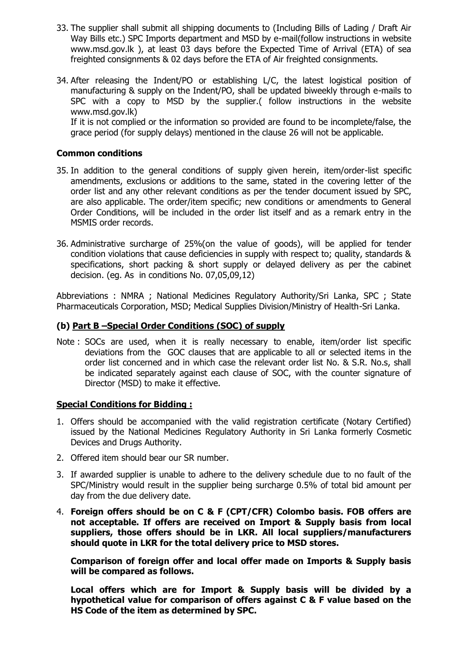- 33. The supplier shall submit all shipping documents to (Including Bills of Lading / Draft Air Way Bills etc.) SPC Imports department and MSD by e-mail(follow instructions in website www.msd.gov.lk ), at least 03 days before the Expected Time of Arrival (ETA) of sea freighted consignments & 02 days before the ETA of Air freighted consignments.
- 34. After releasing the Indent/PO or establishing L/C, the latest logistical position of manufacturing & supply on the Indent/PO, shall be updated biweekly through e-mails to SPC with a copy to MSD by the supplier.( follow instructions in the website www.msd.gov.lk) If it is not complied or the information so provided are found to be incomplete/false, the grace period (for supply delays) mentioned in the clause 26 will not be applicable.

#### **Common conditions**

- 35. In addition to the general conditions of supply given herein, item/order-list specific amendments, exclusions or additions to the same, stated in the covering letter of the order list and any other relevant conditions as per the tender document issued by SPC, are also applicable. The order/item specific; new conditions or amendments to General Order Conditions, will be included in the order list itself and as a remark entry in the MSMIS order records.
- 36. Administrative surcharge of 25%(on the value of goods), will be applied for tender condition violations that cause deficiencies in supply with respect to; quality, standards & specifications, short packing & short supply or delayed delivery as per the cabinet decision. (eg. As in conditions No. 07,05,09,12)

Abbreviations : NMRA ; National Medicines Regulatory Authority/Sri Lanka, SPC ; State Pharmaceuticals Corporation, MSD; Medical Supplies Division/Ministry of Health-Sri Lanka.

#### **(b) Part B –Special Order Conditions (SOC) of supply**

Note : SOCs are used, when it is really necessary to enable, item/order list specific deviations from the GOC clauses that are applicable to all or selected items in the order list concerned and in which case the relevant order list No. & S.R. No.s, shall be indicated separately against each clause of SOC, with the counter signature of Director (MSD) to make it effective.

#### **Special Conditions for Bidding :**

- 1. Offers should be accompanied with the valid registration certificate (Notary Certified) issued by the National Medicines Regulatory Authority in Sri Lanka formerly Cosmetic Devices and Drugs Authority.
- 2. Offered item should bear our SR number.
- 3. If awarded supplier is unable to adhere to the delivery schedule due to no fault of the SPC/Ministry would result in the supplier being surcharge 0.5% of total bid amount per day from the due delivery date.
- 4. **Foreign offers should be on C & F (CPT/CFR) Colombo basis. FOB offers are not acceptable. If offers are received on Import & Supply basis from local suppliers, those offers should be in LKR. All local suppliers/manufacturers should quote in LKR for the total delivery price to MSD stores.**

**Comparison of foreign offer and local offer made on Imports & Supply basis will be compared as follows.**

**Local offers which are for Import & Supply basis will be divided by a hypothetical value for comparison of offers against C & F value based on the HS Code of the item as determined by SPC.**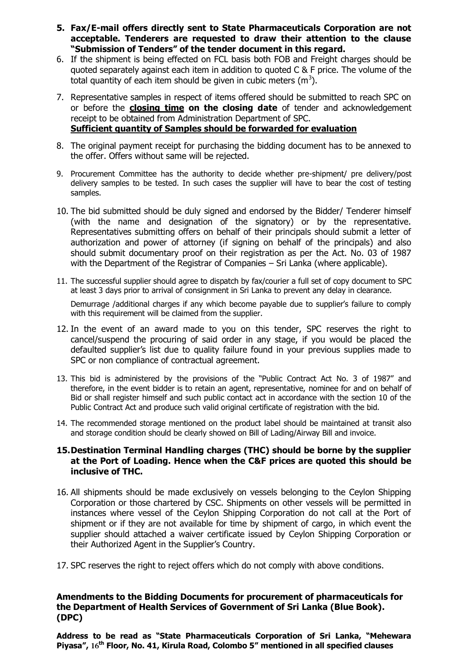- **5. Fax/E-mail offers directly sent to State Pharmaceuticals Corporation are not acceptable. Tenderers are requested to draw their attention to the clause "Submission of Tenders" of the tender document in this regard.**
- 6. If the shipment is being effected on FCL basis both FOB and Freight charges should be quoted separately against each item in addition to quoted C & F price. The volume of the total quantity of each item should be given in cubic meters (m<sup>3</sup>).
- 7. Representative samples in respect of items offered should be submitted to reach SPC on or before the **closing time on the closing date** of tender and acknowledgement receipt to be obtained from Administration Department of SPC. **Sufficient quantity of Samples should be forwarded for evaluation**
- 8. The original payment receipt for purchasing the bidding document has to be annexed to the offer. Offers without same will be rejected.
- 9. Procurement Committee has the authority to decide whether pre-shipment/ pre delivery/post delivery samples to be tested. In such cases the supplier will have to bear the cost of testing samples.
- 10. The bid submitted should be duly signed and endorsed by the Bidder/ Tenderer himself (with the name and designation of the signatory) or by the representative. Representatives submitting offers on behalf of their principals should submit a letter of authorization and power of attorney (if signing on behalf of the principals) and also should submit documentary proof on their registration as per the Act. No. 03 of 1987 with the Department of the Registrar of Companies – Sri Lanka (where applicable).
- 11. The successful supplier should agree to dispatch by fax/courier a full set of copy document to SPC at least 3 days prior to arrival of consignment in Sri Lanka to prevent any delay in clearance. Demurrage /additional charges if any which become payable due to supplier's failure to comply with this requirement will be claimed from the supplier.
- 12. In the event of an award made to you on this tender, SPC reserves the right to cancel/suspend the procuring of said order in any stage, if you would be placed the defaulted supplier's list due to quality failure found in your previous supplies made to SPC or non compliance of contractual agreement.
- 13. This bid is administered by the provisions of the "Public Contract Act No. 3 of 1987" and therefore, in the event bidder is to retain an agent, representative, nominee for and on behalf of Bid or shall register himself and such public contact act in accordance with the section 10 of the Public Contract Act and produce such valid original certificate of registration with the bid.
- 14. The recommended storage mentioned on the product label should be maintained at transit also and storage condition should be clearly showed on Bill of Lading/Airway Bill and invoice.

#### **15.Destination Terminal Handling charges (THC) should be borne by the supplier at the Port of Loading. Hence when the C&F prices are quoted this should be inclusive of THC.**

- 16. All shipments should be made exclusively on vessels belonging to the Ceylon Shipping Corporation or those chartered by CSC. Shipments on other vessels will be permitted in instances where vessel of the Ceylon Shipping Corporation do not call at the Port of shipment or if they are not available for time by shipment of cargo, in which event the supplier should attached a waiver certificate issued by Ceylon Shipping Corporation or their Authorized Agent in the Supplier's Country.
- 17. SPC reserves the right to reject offers which do not comply with above conditions.

#### **Amendments to the Bidding Documents for procurement of pharmaceuticals for the Department of Health Services of Government of Sri Lanka (Blue Book). (DPC)**

**Address to be read as "State Pharmaceuticals Corporation of Sri Lanka, "Mehewara Piyasa", 16th Floor, No. 41, Kirula Road, Colombo 5" mentioned in all specified clauses**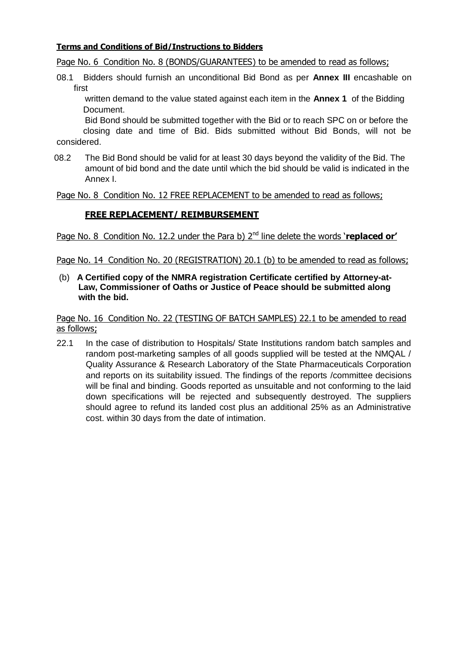#### **Terms and Conditions of Bid/Instructions to Bidders**

Page No. 6 Condition No. 8 (BONDS/GUARANTEES) to be amended to read as follows;

08.1 Bidders should furnish an unconditional Bid Bond as per **Annex III** encashable on first

written demand to the value stated against each item in the **Annex 1** of the Bidding Document.

Bid Bond should be submitted together with the Bid or to reach SPC on or before the closing date and time of Bid. Bids submitted without Bid Bonds, will not be considered.

08.2 The Bid Bond should be valid for at least 30 days beyond the validity of the Bid. The amount of bid bond and the date until which the bid should be valid is indicated in the Annex I.

Page No. 8 Condition No. 12 FREE REPLACEMENT to be amended to read as follows;

# **FREE REPLACEMENT/ REIMBURSEMENT**

Page No. 8 Condition No. 12.2 under the Para b) 2<sup>nd</sup> line delete the words 'replaced or'

Page No. 14 Condition No. 20 (REGISTRATION) 20.1 (b) to be amended to read as follows;

(b) **A Certified copy of the NMRA registration Certificate certified by Attorney-at- Law, Commissioner of Oaths or Justice of Peace should be submitted along with the bid.**

Page No. 16 Condition No. 22 (TESTING OF BATCH SAMPLES) 22.1 to be amended to read as follows;

22.1 In the case of distribution to Hospitals/ State Institutions random batch samples and random post-marketing samples of all goods supplied will be tested at the NMQAL / Quality Assurance & Research Laboratory of the State Pharmaceuticals Corporation and reports on its suitability issued. The findings of the reports /committee decisions will be final and binding. Goods reported as unsuitable and not conforming to the laid down specifications will be rejected and subsequently destroyed. The suppliers should agree to refund its landed cost plus an additional 25% as an Administrative cost. within 30 days from the date of intimation.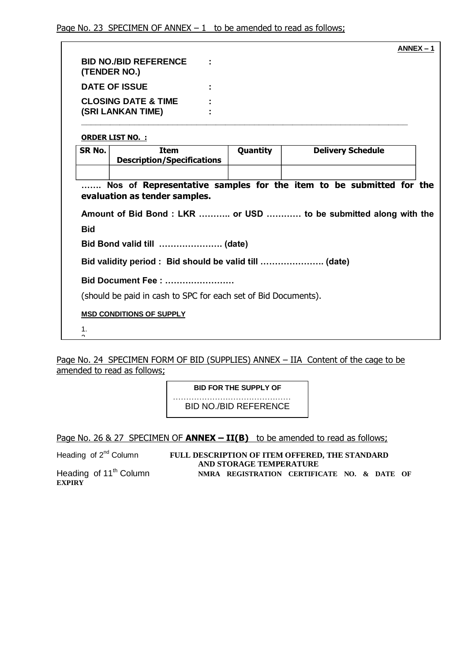|                    |                                                                                                     |  |          |                          | $ANNEX - 1$ |
|--------------------|-----------------------------------------------------------------------------------------------------|--|----------|--------------------------|-------------|
|                    | <b>BID NO./BID REFERENCE</b><br>(TENDER NO.)                                                        |  |          |                          |             |
|                    | <b>DATE OF ISSUE</b>                                                                                |  |          |                          |             |
|                    | <b>CLOSING DATE &amp; TIME</b><br>(SRI LANKAN TIME)                                                 |  |          |                          |             |
|                    | <b>ORDER LIST NO.:</b>                                                                              |  |          |                          |             |
| SR No.             | <b>Item</b><br><b>Description/Specifications</b>                                                    |  | Quantity | <b>Delivery Schedule</b> |             |
|                    |                                                                                                     |  |          |                          |             |
|                    | Nos of Representative samples for the item to be submitted for the<br>evaluation as tender samples. |  |          |                          |             |
|                    | Amount of Bid Bond: LKR  or USD  to be submitted along with the                                     |  |          |                          |             |
| <b>Bid</b>         |                                                                                                     |  |          |                          |             |
|                    | Bid Bond valid till  (date)                                                                         |  |          |                          |             |
|                    |                                                                                                     |  |          |                          |             |
|                    | Bid Document Fee:                                                                                   |  |          |                          |             |
|                    | (should be paid in cash to SPC for each set of Bid Documents).                                      |  |          |                          |             |
|                    | <b>MSD CONDITIONS OF SUPPLY</b>                                                                     |  |          |                          |             |
| 1.<br><sup>o</sup> |                                                                                                     |  |          |                          |             |

Page No. 24 SPECIMEN FORM OF BID (SUPPLIES) ANNEX – IIA Content of the cage to be amended to read as follows;

> **BID FOR THE SUPPLY OF** ………………………………………

BID NO./BID REFERENCE

Page No. 26 & 27 SPECIMEN OF **ANNEX – II(B)** to be amended to read as follows;

Heading of 2<sup>nd</sup> Column **FULL DESCRIPTION OF ITEM OFFERED, THE STANDARD AND STORAGE TEMPERATURE** Heading of 11<sup>th</sup> Column **NMRA REGISTRATION CERTIFICATE NO. & DATE OF** 

**EXPIRY**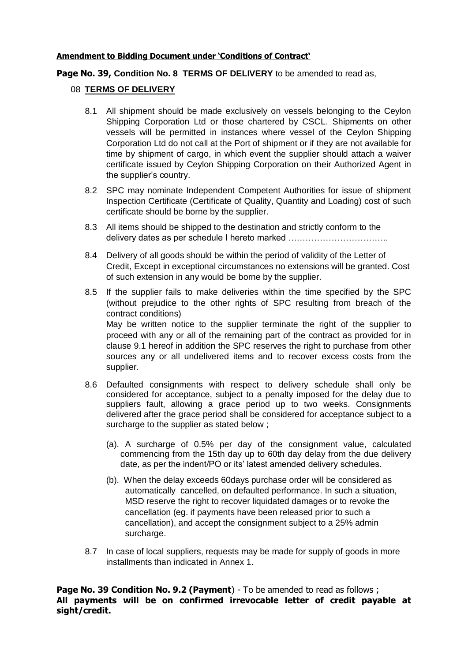#### **Amendment to Bidding Document under "Conditions of Contract"**

**Page No. 39, Condition No. 8 TERMS OF DELIVERY** to be amended to read as,

#### 08 **TERMS OF DELIVERY**

- 8.1 All shipment should be made exclusively on vessels belonging to the Ceylon Shipping Corporation Ltd or those chartered by CSCL. Shipments on other vessels will be permitted in instances where vessel of the Ceylon Shipping Corporation Ltd do not call at the Port of shipment or if they are not available for time by shipment of cargo, in which event the supplier should attach a waiver certificate issued by Ceylon Shipping Corporation on their Authorized Agent in the supplier's country.
- 8.2 SPC may nominate Independent Competent Authorities for issue of shipment Inspection Certificate (Certificate of Quality, Quantity and Loading) cost of such certificate should be borne by the supplier.
- 8.3 All items should be shipped to the destination and strictly conform to the delivery dates as per schedule I hereto marked ……………………………..
- 8.4 Delivery of all goods should be within the period of validity of the Letter of Credit, Except in exceptional circumstances no extensions will be granted. Cost of such extension in any would be borne by the supplier.
- 8.5 If the supplier fails to make deliveries within the time specified by the SPC (without prejudice to the other rights of SPC resulting from breach of the contract conditions) May be written notice to the supplier terminate the right of the supplier to proceed with any or all of the remaining part of the contract as provided for in clause 9.1 hereof in addition the SPC reserves the right to purchase from other sources any or all undelivered items and to recover excess costs from the supplier.
- 8.6 Defaulted consignments with respect to delivery schedule shall only be considered for acceptance, subject to a penalty imposed for the delay due to suppliers fault, allowing a grace period up to two weeks. Consignments delivered after the grace period shall be considered for acceptance subject to a surcharge to the supplier as stated below ;
	- (a). A surcharge of 0.5% per day of the consignment value, calculated commencing from the 15th day up to 60th day delay from the due delivery date, as per the indent/PO or its' latest amended delivery schedules.
	- (b). When the delay exceeds 60days purchase order will be considered as automatically cancelled, on defaulted performance. In such a situation, MSD reserve the right to recover liquidated damages or to revoke the cancellation (eg. if payments have been released prior to such a cancellation), and accept the consignment subject to a 25% admin surcharge.
- 8.7 In case of local suppliers, requests may be made for supply of goods in more installments than indicated in Annex 1.

**Page No. 39 Condition No. 9.2 (Payment**) - To be amended to read as follows ; **All payments will be on confirmed irrevocable letter of credit payable at sight/credit.**